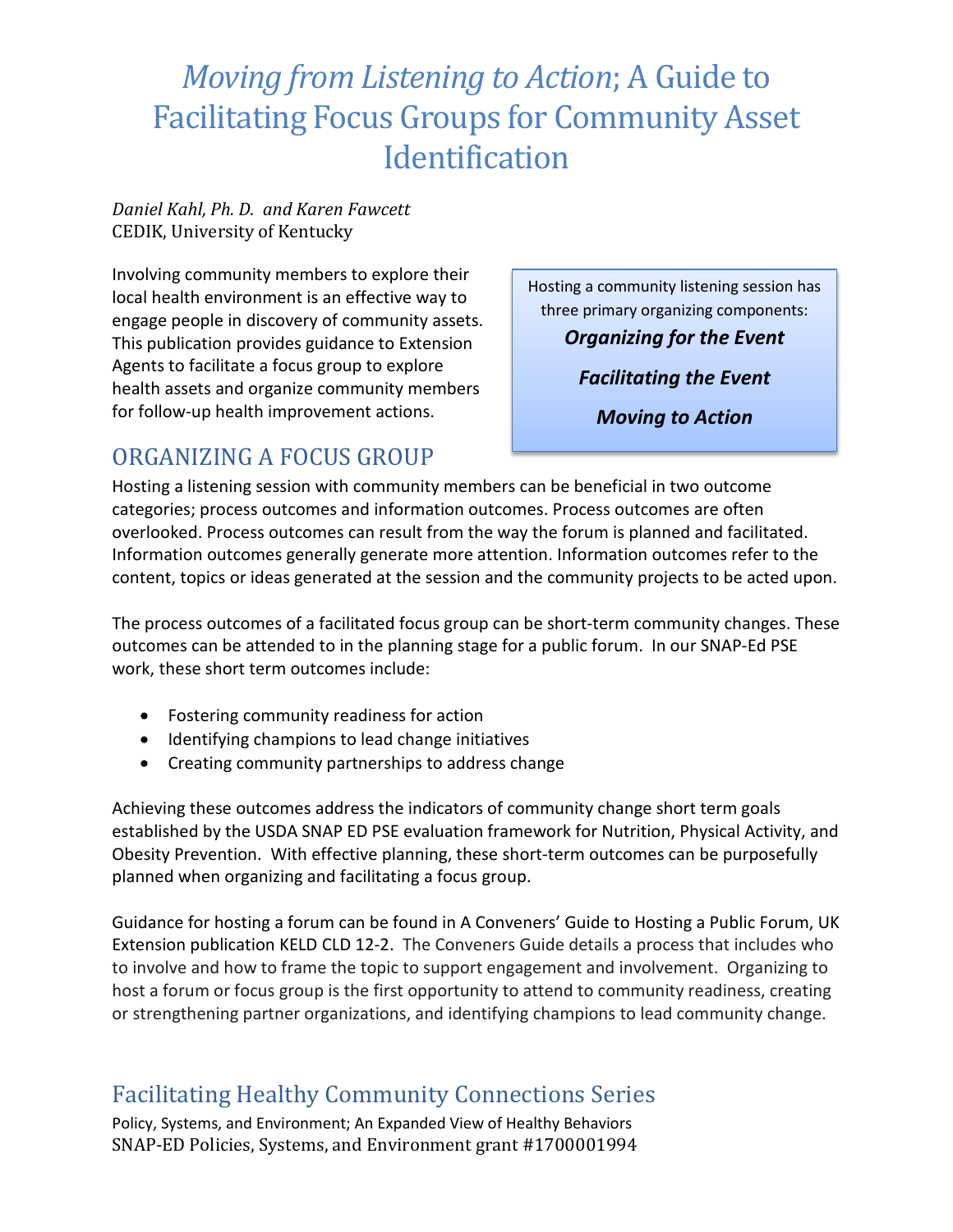#### *Daniel Kahl, Ph. D. and Karen Fawcett* CEDIK, University of Kentucky

Involving community members to explore their local health environment is an effective way to engage people in discovery of community assets. This publication provides guidance to Extension Agents to facilitate a focus group to explore health assets and organize community members for follow-up health improvement actions.

Hosting a community listening session has three primary organizing components: *Organizing for the Event*

*Facilitating the Event*

*Moving to Action*

## ORGANIZING A FOCUS GROUP

Hosting a listening session with community members can be beneficial in two outcome categories; process outcomes and information outcomes. Process outcomes are often overlooked. Process outcomes can result from the way the forum is planned and facilitated. Information outcomes generally generate more attention. Information outcomes refer to the content, topics or ideas generated at the session and the community projects to be acted upon.

The process outcomes of a facilitated focus group can be short-term community changes. These outcomes can be attended to in the planning stage for a public forum. In our SNAP-Ed PSE work, these short term outcomes include:

- Fostering community readiness for action
- Identifying champions to lead change initiatives
- Creating community partnerships to address change

Achieving these outcomes address the indicators of community change short term goals established by the USDA SNAP ED PSE evaluation framework for Nutrition, Physical Activity, and Obesity Prevention. With effective planning, these short-term outcomes can be purposefully planned when organizing and facilitating a focus group.

Guidance for hosting a forum can be found in A Conveners' Guide to Hosting a Public Forum, UK Extension publication KELD CLD 12-2. The Conveners Guide details a process that includes who to involve and how to frame the topic to support engagement and involvement. Organizing to host a forum or focus group is the first opportunity to attend to community readiness, creating or strengthening partner organizations, and identifying champions to lead community change.

## Facilitating Healthy Community Connections Series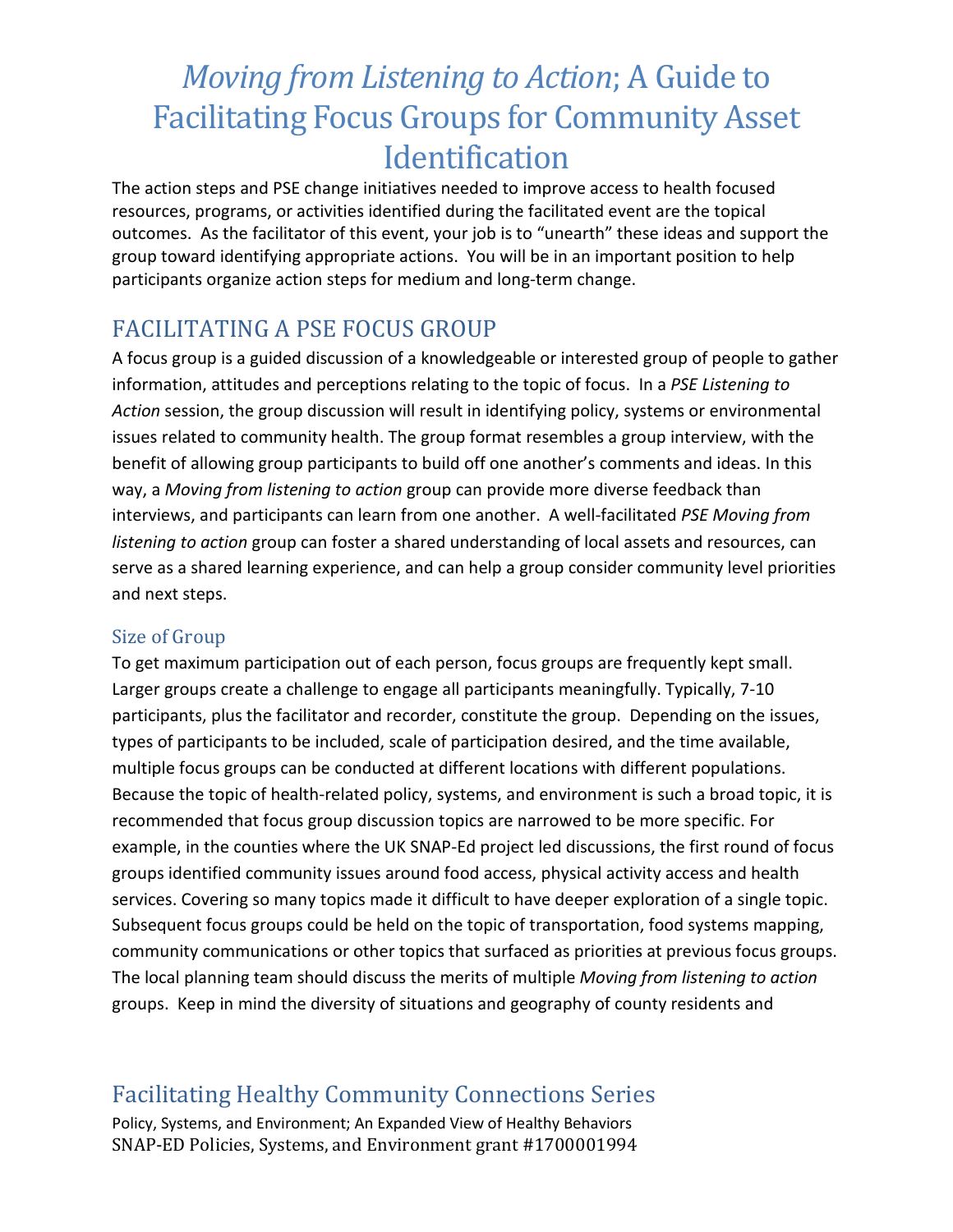The action steps and PSE change initiatives needed to improve access to health focused resources, programs, or activities identified during the facilitated event are the topical outcomes. As the facilitator of this event, your job is to "unearth" these ideas and support the group toward identifying appropriate actions. You will be in an important position to help participants organize action steps for medium and long-term change.

### FACILITATING A PSE FOCUS GROUP

A focus group is a guided discussion of a knowledgeable or interested group of people to gather information, attitudes and perceptions relating to the topic of focus. In a *PSE Listening to Action* session, the group discussion will result in identifying policy, systems or environmental issues related to community health. The group format resembles a group interview, with the benefit of allowing group participants to build off one another's comments and ideas. In this way, a *Moving from listening to action* group can provide more diverse feedback than interviews, and participants can learn from one another. A well-facilitated *PSE Moving from listening to action* group can foster a shared understanding of local assets and resources, can serve as a shared learning experience, and can help a group consider community level priorities and next steps.

#### Size of Group

To get maximum participation out of each person, focus groups are frequently kept small. Larger groups create a challenge to engage all participants meaningfully. Typically, 7-10 participants, plus the facilitator and recorder, constitute the group. Depending on the issues, types of participants to be included, scale of participation desired, and the time available, multiple focus groups can be conducted at different locations with different populations. Because the topic of health-related policy, systems, and environment is such a broad topic, it is recommended that focus group discussion topics are narrowed to be more specific. For example, in the counties where the UK SNAP-Ed project led discussions, the first round of focus groups identified community issues around food access, physical activity access and health services. Covering so many topics made it difficult to have deeper exploration of a single topic. Subsequent focus groups could be held on the topic of transportation, food systems mapping, community communications or other topics that surfaced as priorities at previous focus groups. The local planning team should discuss the merits of multiple *Moving from listening to action* groups. Keep in mind the diversity of situations and geography of county residents and

## Facilitating Healthy Community Connections Series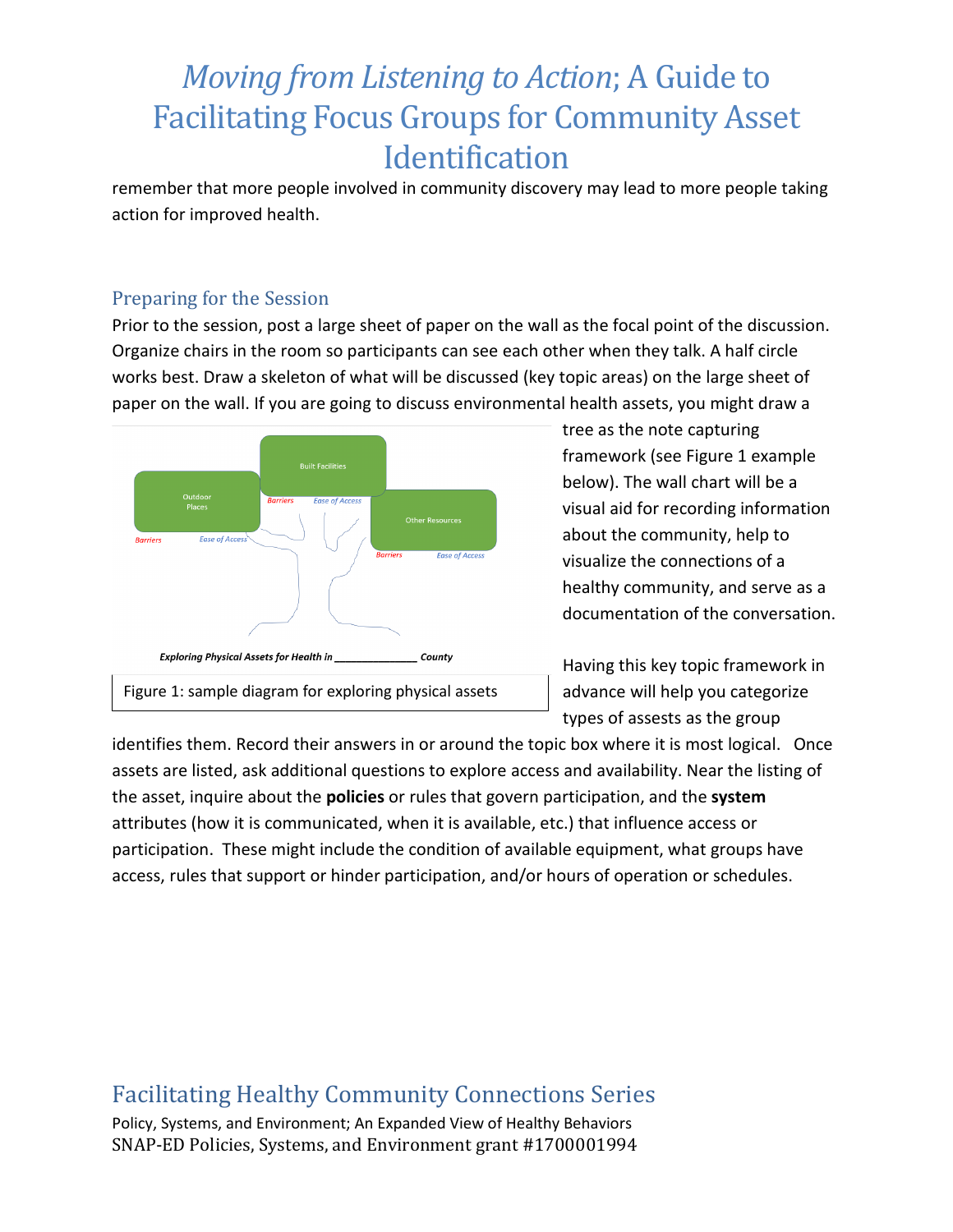remember that more people involved in community discovery may lead to more people taking action for improved health.

#### Preparing for the Session

Prior to the session, post a large sheet of paper on the wall as the focal point of the discussion. Organize chairs in the room so participants can see each other when they talk. A half circle works best. Draw a skeleton of what will be discussed (key topic areas) on the large sheet of paper on the wall. If you are going to discuss environmental health assets, you might draw a



tree as the note capturing framework (see Figure 1 example below). The wall chart will be a visual aid for recording information about the community, help to visualize the connections of a healthy community, and serve as a documentation of the conversation.

Having this key topic framework in advance will help you categorize types of assests as the group

identifies them. Record their answers in or around the topic box where it is most logical. Once assets are listed, ask additional questions to explore access and availability. Near the listing of the asset, inquire about the **policies** or rules that govern participation, and the **system** attributes (how it is communicated, when it is available, etc.) that influence access or participation. These might include the condition of available equipment, what groups have access, rules that support or hinder participation, and/or hours of operation or schedules.

#### Facilitating Healthy Community Connections Series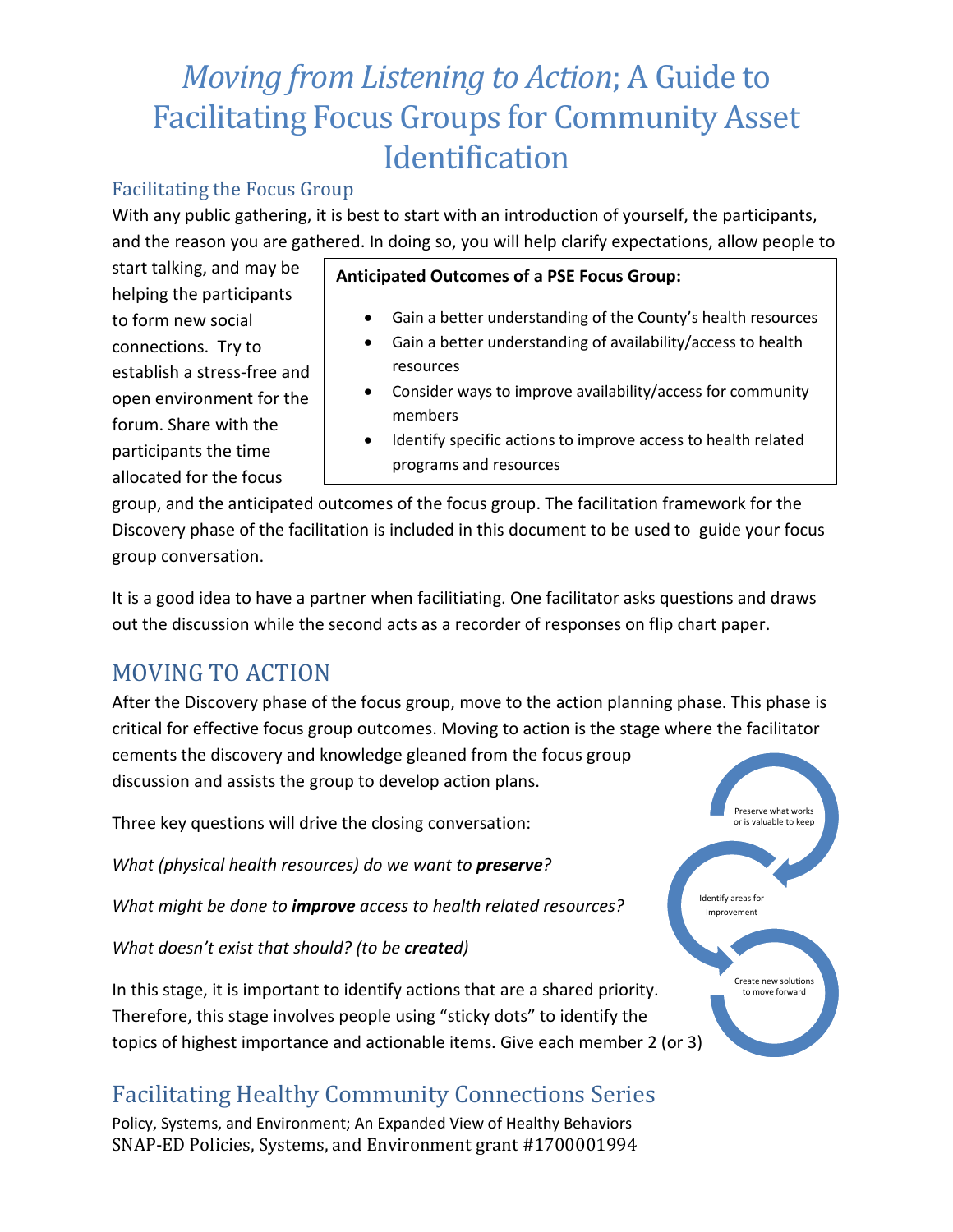#### Facilitating the Focus Group

With any public gathering, it is best to start with an introduction of yourself, the participants, and the reason you are gathered. In doing so, you will help clarify expectations, allow people to

start talking, and may be helping the participants to form new social connections. Try to establish a stress-free and open environment for the forum. Share with the participants the time allocated for the focus

#### **Anticipated Outcomes of a PSE Focus Group:**

- Gain a better understanding of the County's health resources
- Gain a better understanding of availability/access to health resources
- Consider ways to improve availability/access for community members
- Identify specific actions to improve access to health related programs and resources

group, and the anticipated outcomes of the focus group. The facilitation framework for the Discovery phase of the facilitation is included in this document to be used to guide your focus group conversation.

It is a good idea to have a partner when facilitiating. One facilitator asks questions and draws out the discussion while the second acts as a recorder of responses on flip chart paper.

### MOVING TO ACTION

After the Discovery phase of the focus group, move to the action planning phase. This phase is critical for effective focus group outcomes. Moving to action is the stage where the facilitator cements the discovery and knowledge gleaned from the focus group

discussion and assists the group to develop action plans.

Three key questions will drive the closing conversation:

*What (physical health resources) do we want to preserve?*

*What might be done to improve access to health related resources?*

*What doesn't exist that should? (to be created)*

In this stage, it is important to identify actions that are a shared priority. Therefore, this stage involves people using "sticky dots" to identify the topics of highest importance and actionable items. Give each member 2 (or 3)

## Facilitating Healthy Community Connections Series

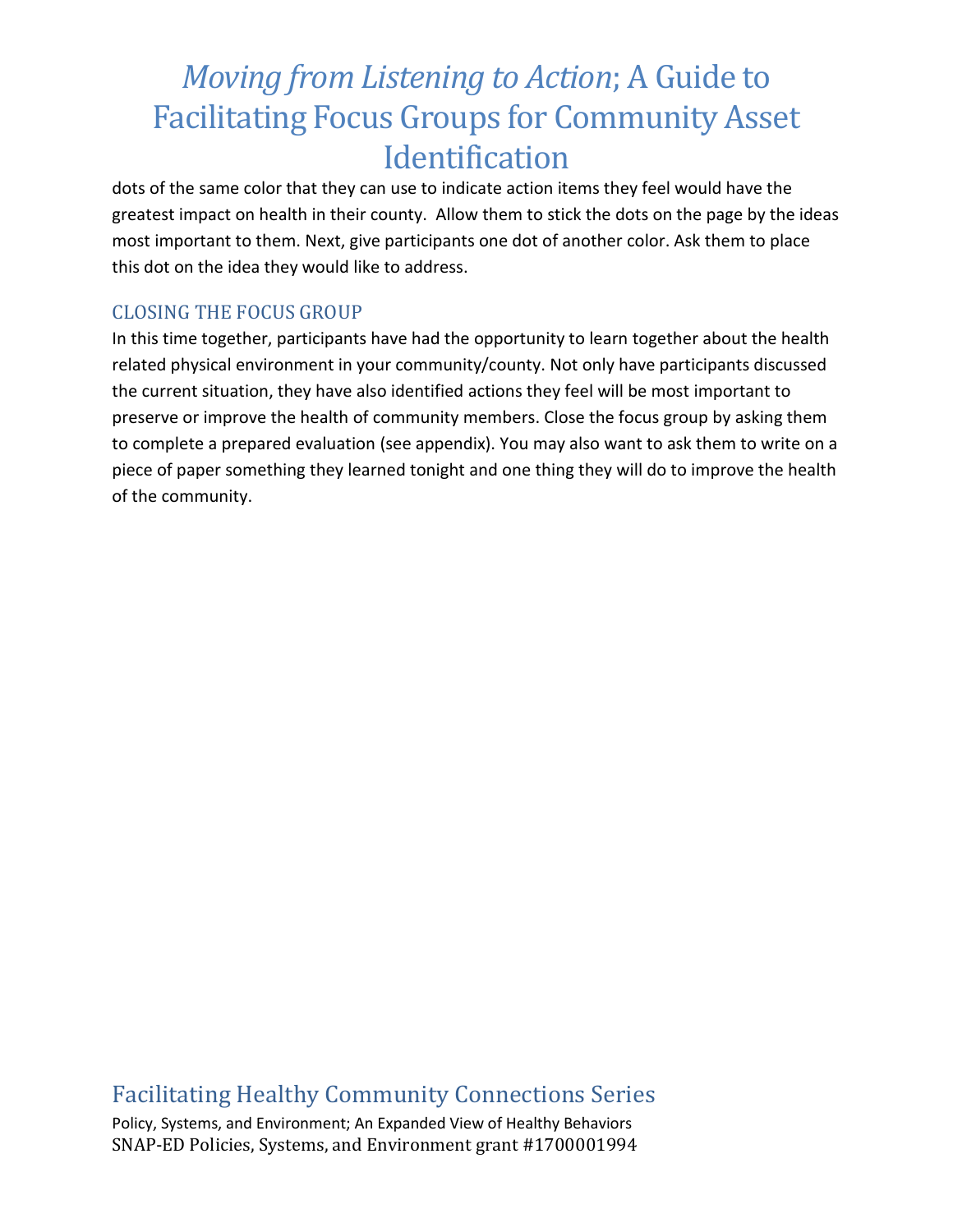dots of the same color that they can use to indicate action items they feel would have the greatest impact on health in their county. Allow them to stick the dots on the page by the ideas most important to them. Next, give participants one dot of another color. Ask them to place this dot on the idea they would like to address.

#### CLOSING THE FOCUS GROUP

In this time together, participants have had the opportunity to learn together about the health related physical environment in your community/county. Not only have participants discussed the current situation, they have also identified actions they feel will be most important to preserve or improve the health of community members. Close the focus group by asking them to complete a prepared evaluation (see appendix). You may also want to ask them to write on a piece of paper something they learned tonight and one thing they will do to improve the health of the community.

### Facilitating Healthy Community Connections Series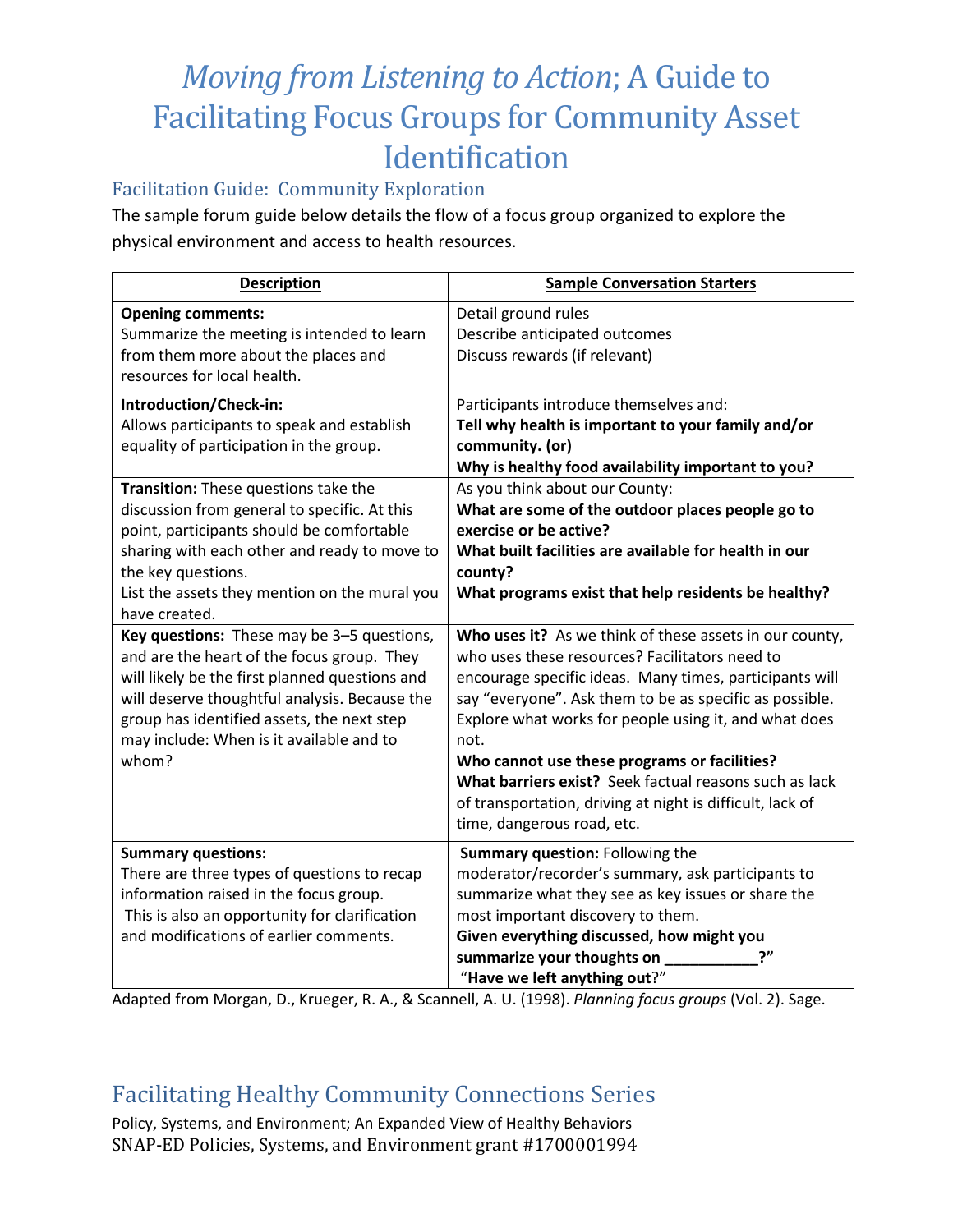#### Facilitation Guide: Community Exploration

The sample forum guide below details the flow of a focus group organized to explore the physical environment and access to health resources.

| <b>Description</b>                                                                                                                                                                                                                                                                             | <b>Sample Conversation Starters</b>                                                                                                                                                                                                                                                                                                                                                                                                                                                                   |
|------------------------------------------------------------------------------------------------------------------------------------------------------------------------------------------------------------------------------------------------------------------------------------------------|-------------------------------------------------------------------------------------------------------------------------------------------------------------------------------------------------------------------------------------------------------------------------------------------------------------------------------------------------------------------------------------------------------------------------------------------------------------------------------------------------------|
| <b>Opening comments:</b><br>Summarize the meeting is intended to learn<br>from them more about the places and<br>resources for local health.                                                                                                                                                   | Detail ground rules<br>Describe anticipated outcomes<br>Discuss rewards (if relevant)                                                                                                                                                                                                                                                                                                                                                                                                                 |
| Introduction/Check-in:<br>Allows participants to speak and establish<br>equality of participation in the group.                                                                                                                                                                                | Participants introduce themselves and:<br>Tell why health is important to your family and/or<br>community. (or)<br>Why is healthy food availability important to you?                                                                                                                                                                                                                                                                                                                                 |
| Transition: These questions take the<br>discussion from general to specific. At this<br>point, participants should be comfortable<br>sharing with each other and ready to move to<br>the key questions.<br>List the assets they mention on the mural you<br>have created.                      | As you think about our County:<br>What are some of the outdoor places people go to<br>exercise or be active?<br>What built facilities are available for health in our<br>county?<br>What programs exist that help residents be healthy?                                                                                                                                                                                                                                                               |
| Key questions: These may be 3-5 questions,<br>and are the heart of the focus group. They<br>will likely be the first planned questions and<br>will deserve thoughtful analysis. Because the<br>group has identified assets, the next step<br>may include: When is it available and to<br>whom? | Who uses it? As we think of these assets in our county,<br>who uses these resources? Facilitators need to<br>encourage specific ideas. Many times, participants will<br>say "everyone". Ask them to be as specific as possible.<br>Explore what works for people using it, and what does<br>not.<br>Who cannot use these programs or facilities?<br>What barriers exist? Seek factual reasons such as lack<br>of transportation, driving at night is difficult, lack of<br>time, dangerous road, etc. |
| <b>Summary questions:</b><br>There are three types of questions to recap<br>information raised in the focus group.<br>This is also an opportunity for clarification<br>and modifications of earlier comments.                                                                                  | Summary question: Following the<br>moderator/recorder's summary, ask participants to<br>summarize what they see as key issues or share the<br>most important discovery to them.<br>Given everything discussed, how might you<br>summarize your thoughts on<br>ייך<br>"Have we left anything out?"                                                                                                                                                                                                     |

Adapted from Morgan, D., Krueger, R. A., & Scannell, A. U. (1998). *Planning focus groups* (Vol. 2). Sage.

## Facilitating Healthy Community Connections Series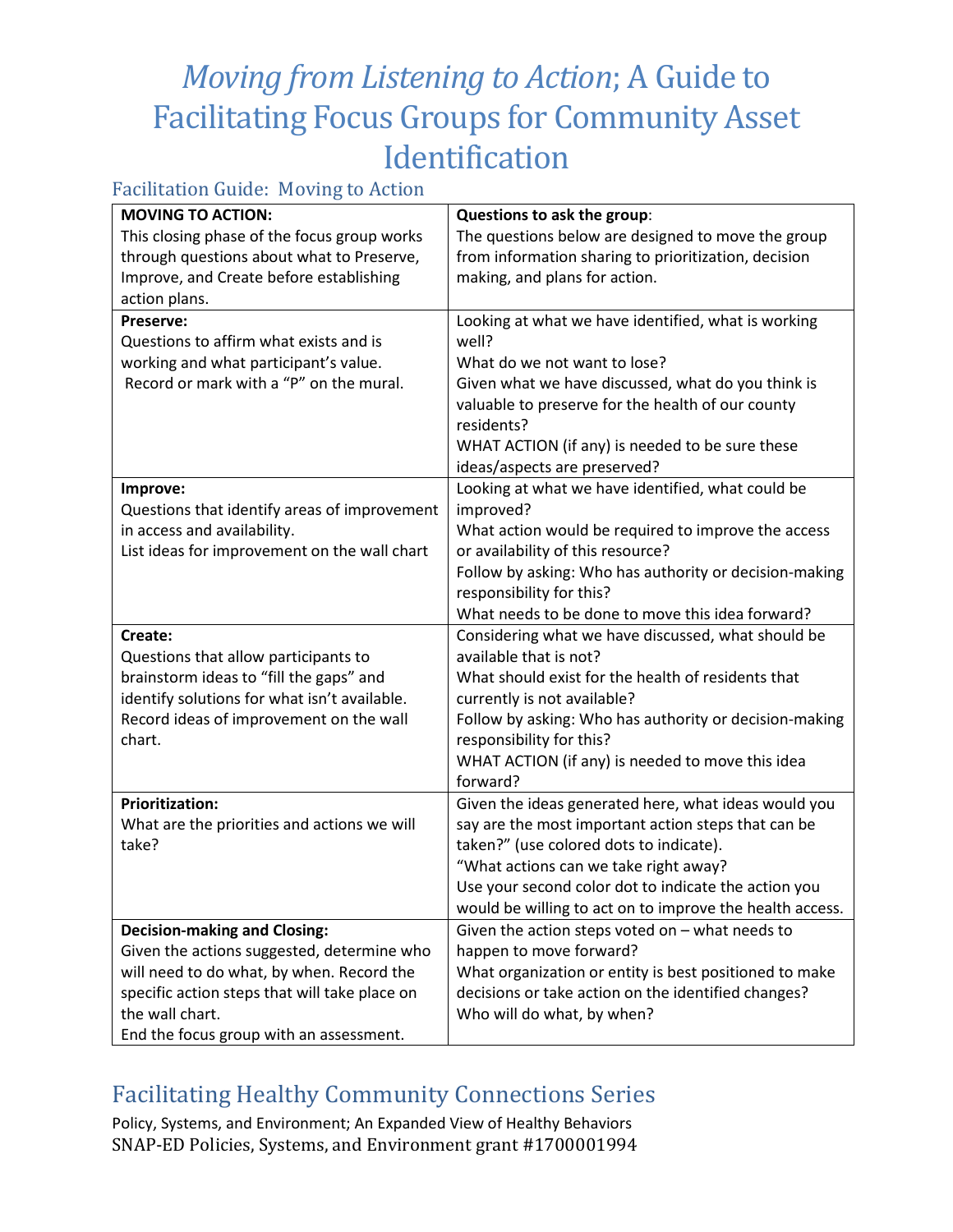#### Facilitation Guide: Moving to Action

| The questions below are designed to move the group                                                          |  |  |
|-------------------------------------------------------------------------------------------------------------|--|--|
|                                                                                                             |  |  |
|                                                                                                             |  |  |
|                                                                                                             |  |  |
|                                                                                                             |  |  |
|                                                                                                             |  |  |
|                                                                                                             |  |  |
| Given what we have discussed, what do you think is                                                          |  |  |
|                                                                                                             |  |  |
|                                                                                                             |  |  |
|                                                                                                             |  |  |
|                                                                                                             |  |  |
|                                                                                                             |  |  |
|                                                                                                             |  |  |
| What action would be required to improve the access                                                         |  |  |
|                                                                                                             |  |  |
| Follow by asking: Who has authority or decision-making                                                      |  |  |
|                                                                                                             |  |  |
|                                                                                                             |  |  |
| Considering what we have discussed, what should be                                                          |  |  |
|                                                                                                             |  |  |
|                                                                                                             |  |  |
|                                                                                                             |  |  |
| Follow by asking: Who has authority or decision-making                                                      |  |  |
|                                                                                                             |  |  |
|                                                                                                             |  |  |
|                                                                                                             |  |  |
| Given the ideas generated here, what ideas would you                                                        |  |  |
|                                                                                                             |  |  |
|                                                                                                             |  |  |
|                                                                                                             |  |  |
|                                                                                                             |  |  |
| would be willing to act on to improve the health access.                                                    |  |  |
|                                                                                                             |  |  |
|                                                                                                             |  |  |
| What organization or entity is best positioned to make                                                      |  |  |
|                                                                                                             |  |  |
|                                                                                                             |  |  |
|                                                                                                             |  |  |
| Looking at what we have identified, what is working<br>Use your second color dot to indicate the action you |  |  |

## Facilitating Healthy Community Connections Series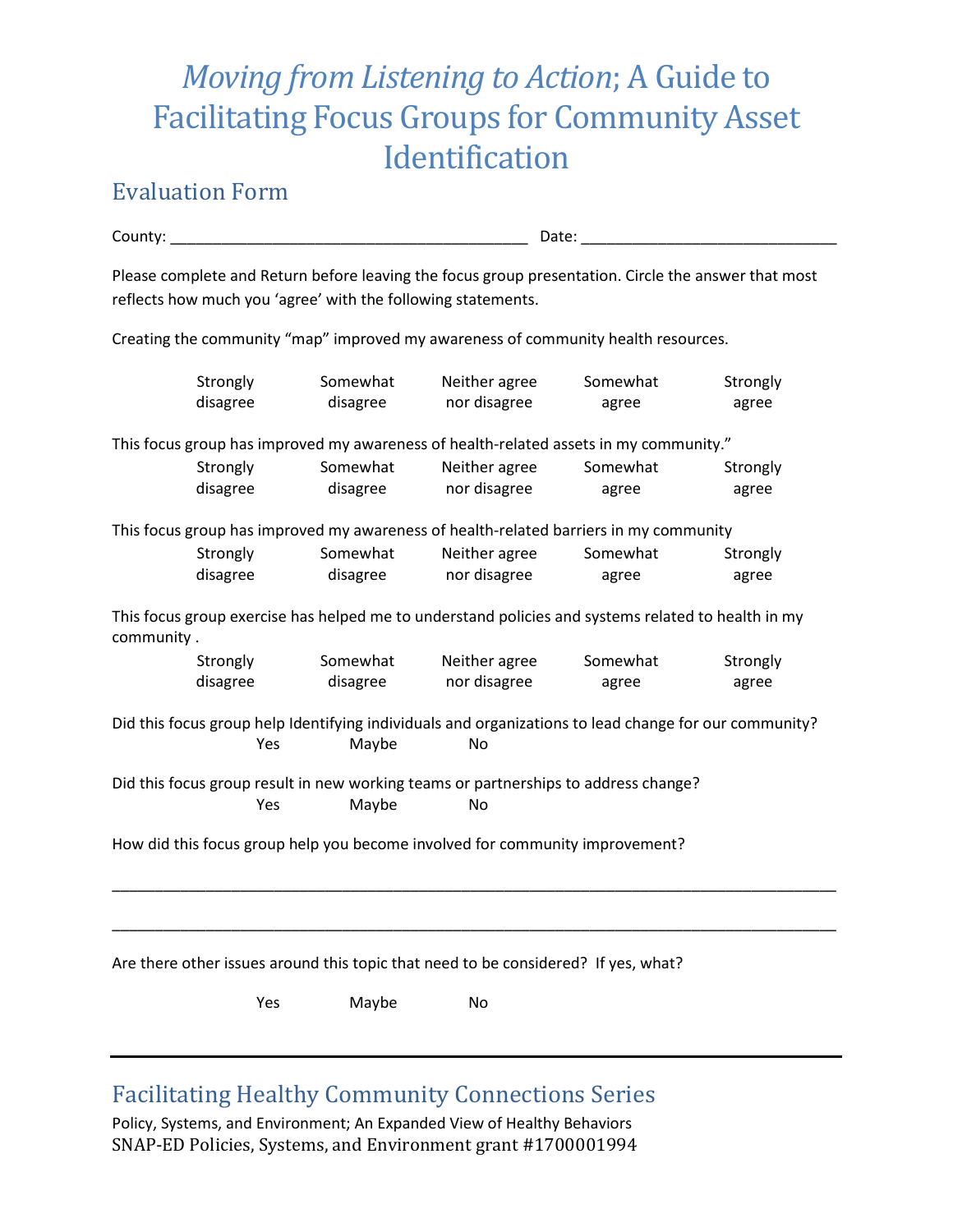### Evaluation Form

| County:              | Date:                                                                                                                                                               |                               |                   |                   |  |
|----------------------|---------------------------------------------------------------------------------------------------------------------------------------------------------------------|-------------------------------|-------------------|-------------------|--|
|                      | Please complete and Return before leaving the focus group presentation. Circle the answer that most<br>reflects how much you 'agree' with the following statements. |                               |                   |                   |  |
|                      | Creating the community "map" improved my awareness of community health resources.                                                                                   |                               |                   |                   |  |
| Strongly<br>disagree | Somewhat<br>disagree                                                                                                                                                | Neither agree<br>nor disagree | Somewhat<br>agree | Strongly<br>agree |  |
|                      | This focus group has improved my awareness of health-related assets in my community."                                                                               |                               |                   |                   |  |
| Strongly<br>disagree | Somewhat<br>disagree                                                                                                                                                | Neither agree<br>nor disagree | Somewhat<br>agree | Strongly<br>agree |  |
|                      | This focus group has improved my awareness of health-related barriers in my community                                                                               |                               |                   |                   |  |
| Strongly<br>disagree | Somewhat<br>disagree                                                                                                                                                | Neither agree<br>nor disagree | Somewhat<br>agree | Strongly<br>agree |  |
| community.           | This focus group exercise has helped me to understand policies and systems related to health in my                                                                  |                               |                   |                   |  |
| Strongly<br>disagree | Somewhat<br>disagree                                                                                                                                                | Neither agree<br>nor disagree | Somewhat<br>agree | Strongly<br>agree |  |
|                      | Did this focus group help Identifying individuals and organizations to lead change for our community?<br>Yes<br>Maybe                                               | No.                           |                   |                   |  |
|                      | Did this focus group result in new working teams or partnerships to address change?<br>Maybe<br>Yes                                                                 | No                            |                   |                   |  |
|                      | How did this focus group help you become involved for community improvement?                                                                                        |                               |                   |                   |  |
|                      |                                                                                                                                                                     |                               |                   |                   |  |
|                      | Are there other issues around this topic that need to be considered? If yes, what?                                                                                  |                               |                   |                   |  |

Yes Maybe No

## Facilitating Healthy Community Connections Series